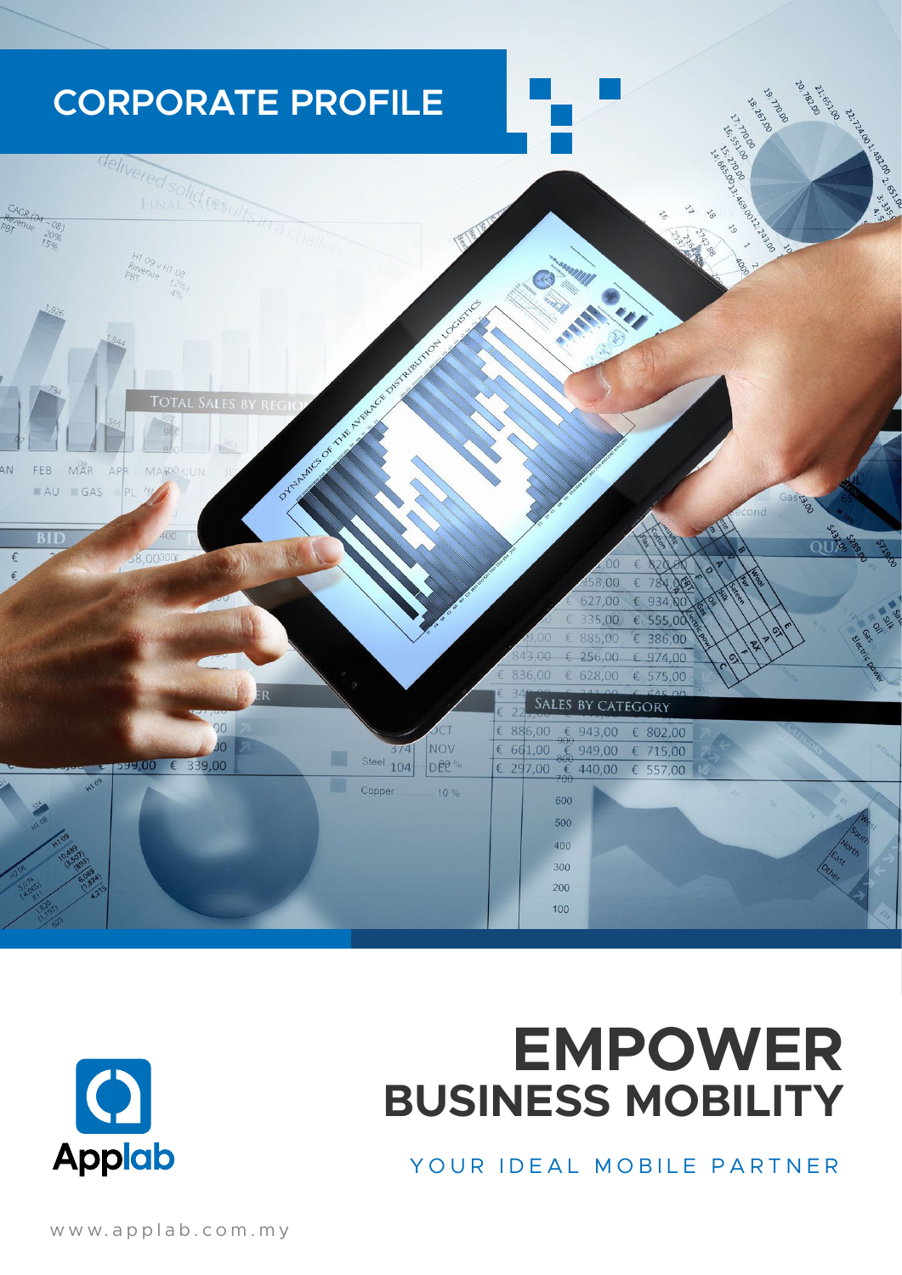



# **EMPOWER BUSINESS MOBILITY**

YOUR IDEAL MOBILE PARTNER

www.applab.com.my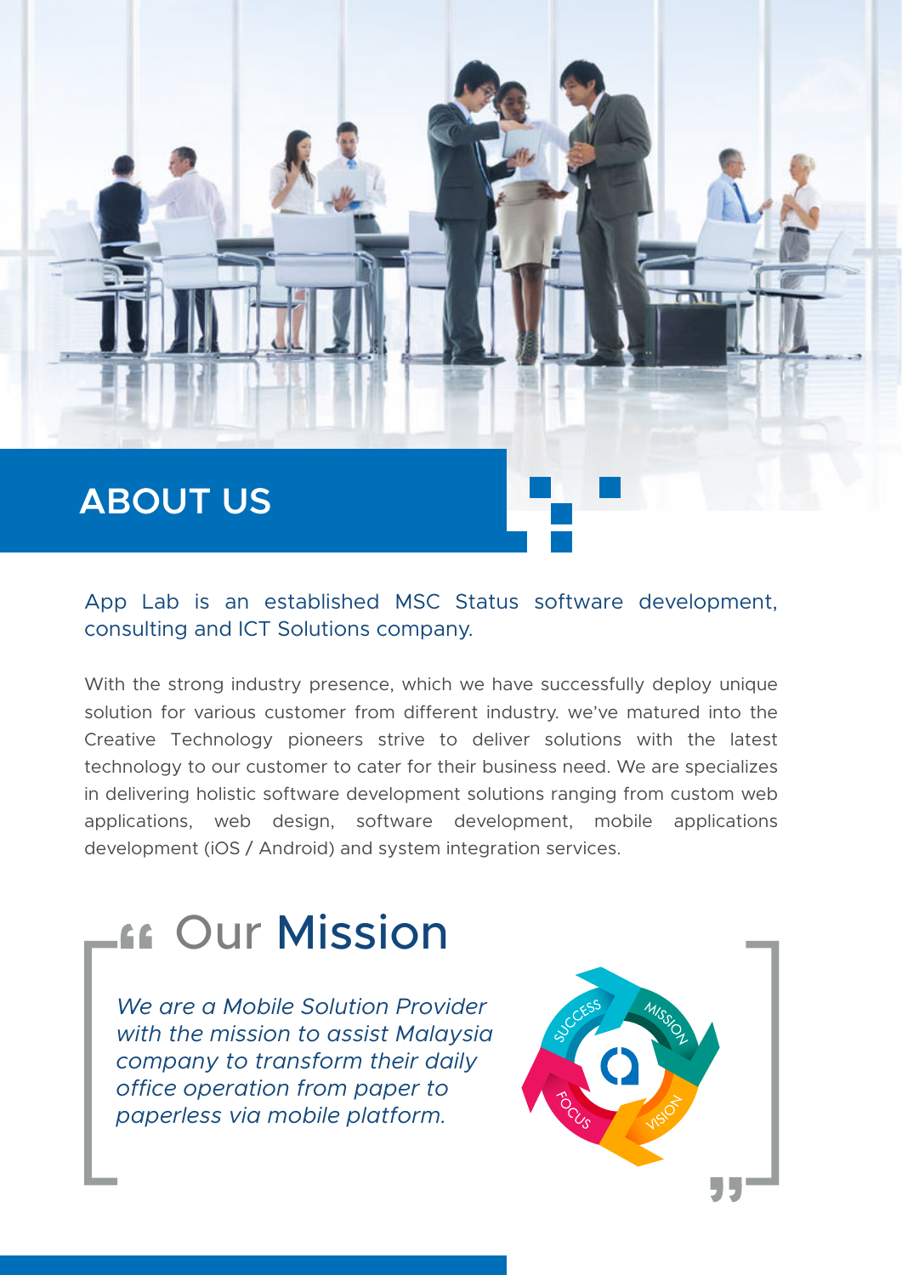## **ABOUT US**

#### App Lab is an established MSC Status software development, consulting and ICT Solutions company.

With the strong industry presence, which we have successfully deploy unique solution for various customer from different industry. we've matured into the Creative Technology pioneers strive to deliver solutions with the latest technology to our customer to cater for their business need. We are specializes in delivering holistic software development solutions ranging from custom web applications, web design, software development, mobile applications development (iOS / Android) and system integration services.

## **Lee Our Mission**

*We are a Mobile Solution Provider with the mission to assist Malaysia company to transform their daily office operation from paper to paperless via mobile platform.*

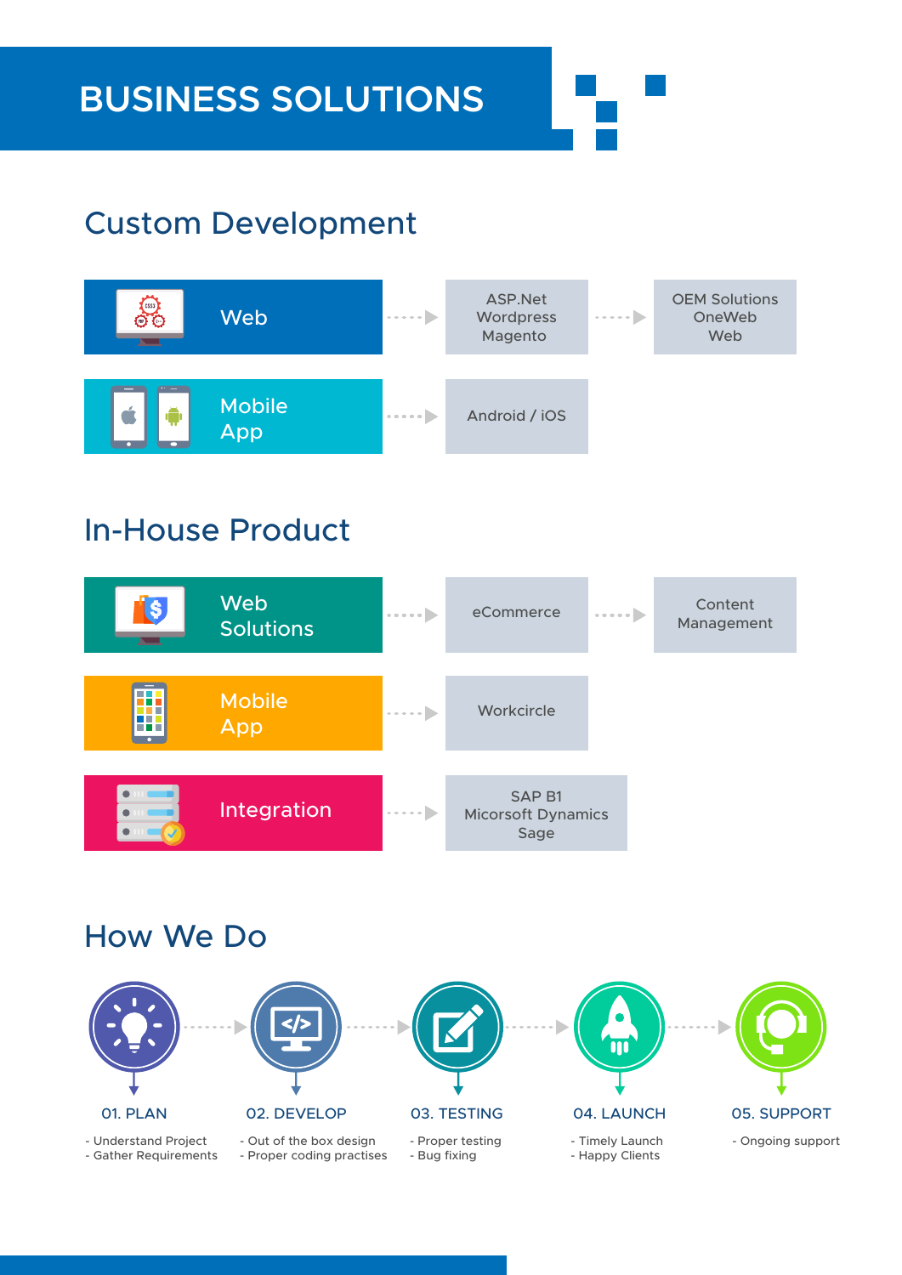### Custom Development



#### In-House Product



#### How We Do



- Understand Project

- Gather Requirements - Out of the box design - Proper coding practises



- Proper testing - Bug fixing



- Timely Launch

- Happy Clients



- Ongoing support